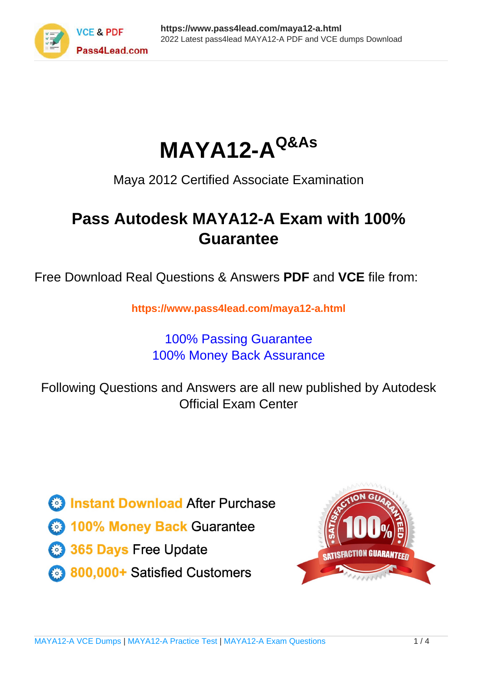

**MAYA12-AQ&As**

Maya 2012 Certified Associate Examination

## **Pass Autodesk MAYA12-A Exam with 100% Guarantee**

Free Download Real Questions & Answers **PDF** and **VCE** file from:

**https://www.pass4lead.com/maya12-a.html**

## 100% Passing Guarantee 100% Money Back Assurance

Following Questions and Answers are all new published by Autodesk Official Exam Center

**63 Instant Download After Purchase** 

**@ 100% Money Back Guarantee** 

365 Days Free Update

800,000+ Satisfied Customers

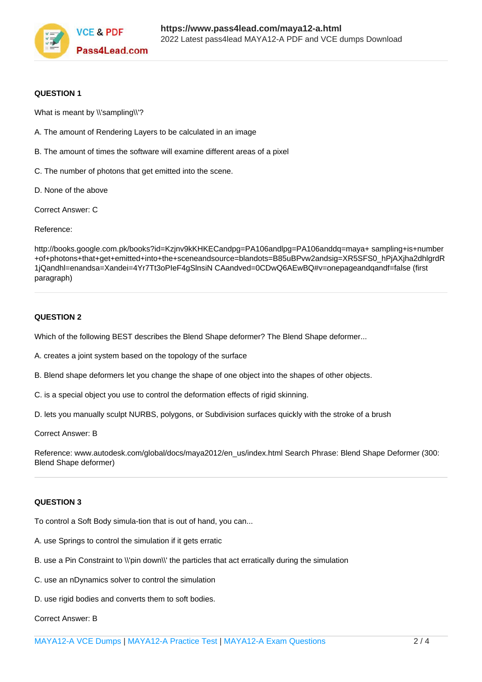

#### **QUESTION 1**

What is meant by \\'sampling\\'?

- A. The amount of Rendering Layers to be calculated in an image
- B. The amount of times the software will examine different areas of a pixel
- C. The number of photons that get emitted into the scene.
- D. None of the above

Correct Answer: C

Reference:

http://books.google.com.pk/books?id=Kzjnv9kKHKECandpg=PA106andlpg=PA106anddq=maya+ sampling+is+number +of+photons+that+get+emitted+into+the+sceneandsource=blandots=B85uBPvw2andsig=XR5SFS0\_hPjAXjha2dhlgrdR 1jQandhl=enandsa=Xandei=4Yr7Tt3oPIeF4gSlnsiN CAandved=0CDwQ6AEwBQ#v=onepageandqandf=false (first paragraph)

#### **QUESTION 2**

Which of the following BEST describes the Blend Shape deformer? The Blend Shape deformer...

A. creates a joint system based on the topology of the surface

B. Blend shape deformers let you change the shape of one object into the shapes of other objects.

C. is a special object you use to control the deformation effects of rigid skinning.

D. lets you manually sculpt NURBS, polygons, or Subdivision surfaces quickly with the stroke of a brush

Correct Answer: B

Reference: www.autodesk.com/global/docs/maya2012/en\_us/index.html Search Phrase: Blend Shape Deformer (300: Blend Shape deformer)

#### **QUESTION 3**

To control a Soft Body simula-tion that is out of hand, you can...

- A. use Springs to control the simulation if it gets erratic
- B. use a Pin Constraint to \\'pin down\\' the particles that act erratically during the simulation
- C. use an nDynamics solver to control the simulation
- D. use rigid bodies and converts them to soft bodies.

### Correct Answer: B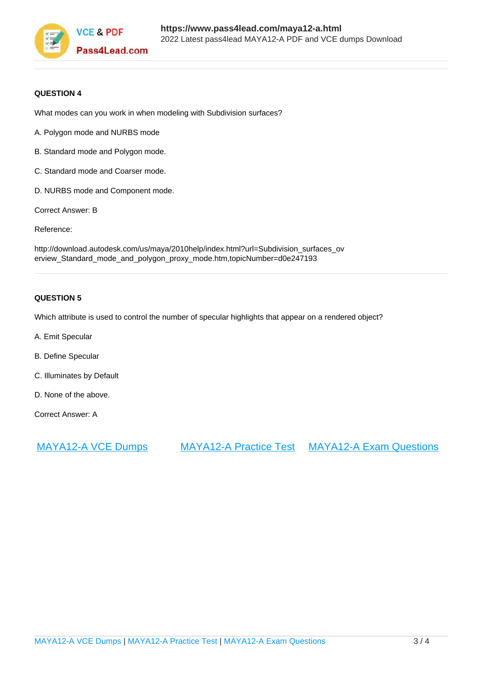

#### **QUESTION 4**

What modes can you work in when modeling with Subdivision surfaces?

- A. Polygon mode and NURBS mode
- B. Standard mode and Polygon mode.
- C. Standard mode and Coarser mode.
- D. NURBS mode and Component mode.
- Correct Answer: B

Reference:

http://download.autodesk.com/us/maya/2010help/index.html?url=Subdivision\_surfaces\_ov erview\_Standard\_mode\_and\_polygon\_proxy\_mode.htm,topicNumber=d0e247193

#### **QUESTION 5**

Which attribute is used to control the number of specular highlights that appear on a rendered object?

- A. Emit Specular
- B. Define Specular
- C. Illuminates by Default
- D. None of the above.

Correct Answer: A

[MAYA12-A VCE Dumps](https://www.pass4lead.com/maya12-a.html) [MAYA12-A Practice Test](https://www.pass4lead.com/maya12-a.html) [MAYA12-A Exam Questions](https://www.pass4lead.com/maya12-a.html)